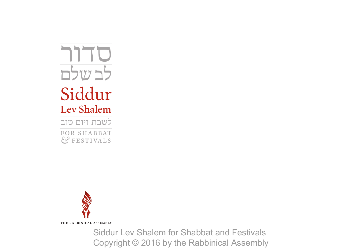סדור לב שלם Siddur **Lev Shalem** לשבת ויום טוב FOR SHABBAT *&* FESTIVALS



Siddur Lev Shalem for Shabbat and Festivals Copyright © 2016 by the Rabbinical Assembly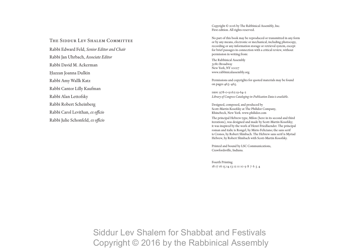THE SIDDUR LEV SHALEM COMMITTEE

Rabbi Edward Feld, *Senior Editor and Chair* Rabbi Jan Uhrbach, *Associate Editor* Rabbi David M. Ackerman Ḥazzan Joanna Dulkin Rabbi Amy Wallk Katz Rabbi Cantor Lilly Kaufman Rabbi Alan Lettofsky Rabbi Robert Scheinberg Rabbi Carol Levithan, *ex officio* Rabbi Julie Schonfeld, *ex officio*

Copyright © 2016 by The Rabbinical Assembly, Inc. First edition. All rights reserved.

No part of this book may be reproduced or transmitted in any form or by any means, electronic or mechanical, including photocopy, recording or any information storage or retrieval system, except for brief passages in connection with a critical review, without permission in writing from:

The Rabbinical Assembly 3080 Broadway New York, NY 10027 www.rabbinicalassembly.org

Permissions and copyrights for quoted materials may be found on pages 463–465.

isbn: 978-0-916219-64-2 *Library of Congress Cataloging-in-Publication Data is available.*

Designed, composed, and produced by Scott-Martin Kosofsky at The Philidor Company, Rhinebeck, New York. www.philidor.com

The principal Hebrew type, Milon (here in its second and third iterations), was designed and made by Scott-Martin Kosofsky; it was inspired by the work of Henri Friedlaender. The principal roman and italic is Rongel, by Mário Feliciano; the sans serif is Cronos, by Robert Slimbach. The Hebrew sans serif is Myriad Hebrew, by Robert Slimbach with Scott-Martin Kosofsky.

Printed and bound by LSC Communications, Crawfordsville, Indiana.

Fourth Printing 18 17 16 15 14 13 12 11 10 9 8 7 6 5 4

Siddur Lev Shalem for Shabbat and Festivals Copyright © 2016 by the Rabbinical Assembly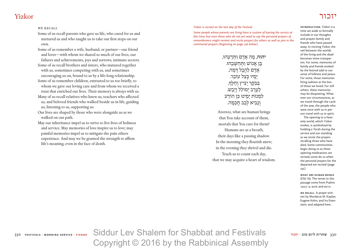# יזכור Yizkor

#### *we recall*

Some of us recall parents who gave us life, who cared for us and nurtured us and who taught us to take our first steps on our own.

Some of us remember a wife, husband, or partner—our friend and lover—with whom we shared so much of our lives, our failures and achievements, joys and sorrows, intimate secrets.

Some of us recall brothers and sisters, who matured together with us, sometimes competing with us, and sometimes encouraging us on, bound to us by a life-long relationship.

Some of us remember children, entrusted to us too briefly, to whom we gave our loving care and from whom we received a trust that enriched our lives. Their memory is always with us.

- Many of us recall relatives who knew us, teachers who affected us, and beloved friends who walked beside us in life, guiding us, listening to us, supporting us.
- Our lives are shaped by those who were alongside us as we walked on our path.

May our inheritance impel us to strive to live lives of holiness and service. May memories of love inspire us to love; may painful memories impel us to mitigate the pain others experience. And may we be granted the strength to affirm life's meaning, even in the face of death.

*Yizkor is recited on the last day of the Festival.*

*Some people whose parents are living have a custom of leaving the service at this time, but even those who do not yet need to say the personal prayers of remembrance might remain and recite prayers for others as well as join in the communal prayers (beginning on page 336 below).*

> **יהוה, מה אדם ותדעהוּ,** בֵּוּ אַנוֹשׁ וּתּחשׁבהוּ. אַדָם לַהֱבֶל דַּמֲה, ימיו כִּצל עוֹבֵר. ּבִּבִּקֶר יַצִיץ וְחָלַף, לָעֱרֵב יִמוֹלֵל וְיָבֵ*שׁ.* לִמְנוֹת יַמֵינוּ כֵּן הוֹדַע וְנָבִיא לְבַב חַכְמָה.

ADONAI, what are human beings that You take account of them, mortals that You care for them? Humans are as a breath, their days like a passing shadow. In the morning they flourish anew; in the evening they shrivel and die. Teach us to count each day, that we may acquire a heart of wisdom.

**Introduction.** Yizkor is a time set aside to formally include in our thoughts and prayers family and friends who have passed away. In reciting Yizkor, the veil between the worlds of the living and the dead becomes more transparent. For some, memories of family and friends evoked by the festival add to our sense of fullness and peace. For some, those memories bring sadness at the loss of those we loved. For still others, these memories may be disquieting. Whatever our circumstances, as we travel through the cycle of the year, the people who were once with us in person travel with us in spirit.

The opening to a heavenly world, which Yizkor evokes, is symbolized by holding a Torah during the service and our standing as we recite the prayers recalling those who have died. Some communities begin doing so as these opening meditations are recited; some do so when the personal prayers for the departed are recited (page 335).

**What are human beings**  מה אדם. The verses in this passage come from Psalms 144:3–4, 90:6, and 90:12.

**We Recall**. A prayer written by Mordecai M. Kaplan, Eugene Kohn, and Ira Eisenstein, and adapted here.

Siddur Lev Shalem for Shabbat and Festivals 330 **שחרית ליום טוב · יזכור yizkor · service morning · festivals** 330 Copyright © 2016 by the Rabbinical Assembly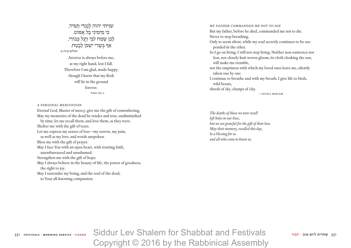שִׁוְּיתִי יהוה לְנֶגְדִּי תָמִיד, כּ ִ י מִ ימִ ינִ י בַּ ל אֶ מּוֹט. לָבֵן שָׂמַח לִבִּי וַיָּגֵל כִּבוֹדִי, אַף בִּשָּׂרִי יִשְׁכֹּן לָבֵטַח. תהלים טז:ח-ט ADONAI is always before me, at my right hand, lest I fall. Therefore I am glad, made happy, though I know that my flesh will lie in the ground forever. Psalm 16:8–9

*A Personal Meditation*

Eternal God, Master of mercy, give me the gift of remembering. May my memories of the dead be tender and true, undiminished by time; let me recall them, and love them, as they were. Shelter me with the gift of tears. Let me express my senses of loss—my sorrow, my pain, as well as my love, and words unspoken. Bless me with the gift of prayer. May I face You with an open heart, with trusting faith, unembarrassed and unashamed. Strengthen me with the gift of hope. May I always believe in the beauty of life, the power of goodness, the right to joy. May I surrender my being, and the soul of the dead, to Your all-knowing compassion.

*My Father Commanded Me Not To Die* But my father, before he died, commanded me not to die. Never to stop breathing. Only to seem silent, while my soul secretly continues to be suspended in the ether. So I go on living. I will not stop living. Neither non-existence nor fear, nor closely-knit woven gloom, its cloth cloaking the sun, will make me tremble, not the emptiness with which my loved ones leave me, silently taken one by one. I continue to breathe and with my breath, I give life to birds, wild beasts, shreds of sky, clumps of clay. —rivka miriam

*The deaths of those we now recall left holes in our lives, but we are grateful for the gift of their love. May their memory, recalled this day, be a blessing for us and all who come to know us.*

Siddur Lev Shalem for Shabbat and Festivals 331 **שחרית ליום טוב · יזכור yizkor · service morning · festivals** 331 Copyright © 2016 by the Rabbinical Assembly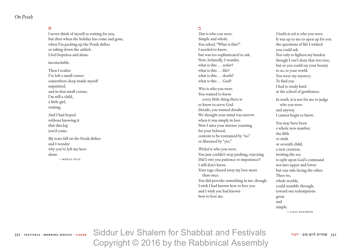*On Pesah|.|*

# א

I never think of myself as waiting for you, but then when the holiday has come and gone, when I'm packing up the Pesah dishes or taking down the *sukkah*, I feel hopeless and alone.

inconsolable.

Then I realize I've left a small corner somewhere deep inside myself unpainted, and in that small corner, I'm still a child, a little girl, waiting.

And I had hoped without knowing it that this hag you'd come.

My tears fall on the Pesah dishes and I wonder why you've left me here alone. —MERLE FELD

## ב

*Tam* is who you were. Simple and whole. You asked, "What is this?" I needed to know, but was too sophisticated to ask. Now, belatedly, I wonder, what is this . . . seder? what is this . . . life? what is this ... death? what is this . . . God?

*Wise* is who you were. You wanted to know every little thing there is to know to serve God. Details, you wanted details. We thought your mind was narrow when it was simply in love. Now I miss your intense yearning for your beloved, content to be restrained by "no" or liberated by "yes."

*Wicked* is who you were. You just couldn't stop pushing, rejecting. Did I owe you patience or impatience? I still don't know. Your rage chased away my love more than once. You did provoke something in me, though. I wish I had known how to love you and I wish you had known how to love me.

*Unable to ask* is who you were. It was up to me to open up for you the questions of life I wished you could ask. Not only to lighten my burden though I can't deny that was true, but so you could say your beauty to us, to your world. You were my mystery. To find you I had to study hard at the school of gentleness.

In truth, it is not for me to judge who you were and anyway I cannot begin to know.

You may have been a whole new number, the fifth or sixth or seventh child, a new creation, inviting the sea to split upon God's command not into upper and lower but one side facing the other. Then we, whole worlds, could stumble through, toward our redemptions great and simple.

—LILLY KAUFMAN

Siddur Lev Shalem for Shabbat and Festivals 332 **שחרית ליום טוב · יזכור yizkor · service morning · festivals** 332 Copyright © 2016 by the Rabbinical Assembly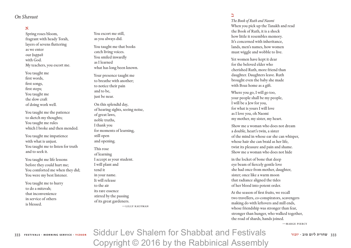# *On Shavuot*

# א

Spring roses bloom, fragrant with heady Torah, layers of sevens fluttering as we enter our *huppah* with God. My teachers, you escort me.

You taught me first words, first songs, first steps; You taught me the slow craft of doing work well.

You taught me the patience to sketch my thoughts; You taught me rules which I broke and then mended.

You taught me impatience with what is unjust. You taught me to listen for truth and to seek it.

You taught me life lessons before they could hurt me; You comforted me when they did; You were my best listener.

You taught me to hurry to do a mitzvah; that inconvenience in service of others is blessed.

You escort me still, as you always did.

You taught me that books catch living voices. You smiled inwardly as I learned what has long been known.

Your presence taught me to breathe with another; to notice their pain and to be, just be near.

- On this splendid day, of hearing sights, seeing noise, of great laws, noble truths, I thank you for moments of learning, still open and opening.
- This rose of learning I accept as your student. I will plant and tend it in your name. It will release to the air its rare essence stirred by the passing of its great gardeners. —LILLY KAU FMA N

### ב

*The Book of Ruth and Naomi* When you pick up the Tanakh and read the Book of Ruth, it is a shock how little it resembles memory. It's concerned with inheritance, lands, men's names, how women must wiggle and wobble to live.

Yet women have kept it dear for the beloved elder who cherished Ruth, more friend than daughter. Daughters leave. Ruth brought even the baby she made with Boaz home as a gift.

Where you go, I will go too, your people shall be my people, I will be a Jew for you, for what is yours I will love as I love you, oh Naomi my mother, my sister, my heart.

Show me a woman who does not dream a double, heart's twin, a sister of the mind in whose ear she can whisper, whose hair she can braid as her life, twist its pleasure and pain and shame. Show me a woman who does not hide

in the locket of bone that deep eye beam of fiercely gentle love she had once from mother, daughter, sister; once like a warm moon that radiance aligned the tides of her blood into potent order.

At the season of first fruits, we recall two travellers, co-conspirators, scavengers making do with leftovers and mill ends, whose friendship was stronger than fear, stronger than hunger, who walked together, the road of shards, hands joined.<br>—MARGE PIERCY

Siddur Lev Shalem for Shabbat and Festivals 333 **שחרית ליום טוב · יזכור yizkor · service morning · festivals** 333 Copyright © 2016 by the Rabbinical Assembly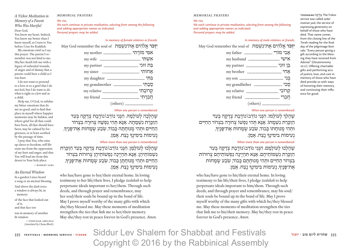#### *memorial prayers*

#### *A Yizkor Meditation in Memory of a Parent Who Was Hurtful* Dear God, You know my heart. Indeed, You know me better than I know myself, so I turn to You

before I rise for Kaddish. My emotions swirl as I say this prayer. The parent I remember was not kind to me. His/her death left me with a legacy of unhealed wounds, of anger and of dismay that a parent could hurt a child as I was hurt.

 I do not want to pretend to a love or to a grief that I do not feel, but I do want to do what is right as a Jew and as a child.

 Help me, O God, to subdue my bitter emotions that do me no good, and to find that place in myself where happier memories may lie hidden, and where grief for all that could have been, all that should have been, may be calmed by forgiveness, or at least soothed by the passage of time.

 I pray that You, who raise up slaves to freedom, will liberate me from the oppression of my hurt and anger, and that You will lead me from this desert to Your holy place.

—robert saks

*An Eternal Window* In a garden I once heard a song or an ancient blessing. And above the dark trees a window is always lit, in memory

of the face that looked out of it, and that face too

was in memory of another lit window.

—yehudah amichai (*translated by Chana Bloch*)

*We rise. We each continue in private meditation, selecting from among the following and adding appropriate names as indicated. Personal prayers may be added.*

### *In memory of female relatives or friends:*

*H***i יִזְכֹּר אִלֹהִים אַת־נַשְׁמַת** 

| אִמְי מוֹרַתִי ____________________ my mother  |            |
|------------------------------------------------|------------|
|                                                |            |
| בֵּת זוּגִי _______________________ my partner |            |
|                                                |            |
|                                                |            |
|                                                |            |
| my relative                                    | קְרוֹבָתִי |
|                                                | חֲבֵרְתִי  |
|                                                |            |

#### *When one person is remembered:*

 $\alpha$ שהלכה לעולמה. הנני נודב\נודבת צדקה בעד הַזְכָּרַת נִשְׁמָתָהּ. אָנָא תְּהִי נַפְשָׁהּ צְרוּרָה בִּצְרוֹר החיים וּתהי מנוּחתה כּבוֹד*, שֹבע ש*ֹמחוֹת את־פּניךּ, נעימות בימינך נצח. אמן.

#### *When more than one person is remembered:*

שהלכוּ לִעוֹלַמַן. הִנִּנִי נוֹדֵב\נוֹדֵבֵת צְדָקָה בְּעַד הַזְכָּרַת נִשְׁמוֹתֵיהֵן. אַנַּא תְּהִיֵינַה נַפְשׁוֹתֵיהֵן צְרוּרוֹת בִּצְרוֹר הַחַיִּים וּתְהִי מִנוּחַתַן כַּבוֹד*, ש*ֹבַע שִׂמַחוֹת אַת־פָּנֵיך*ּ,* נְעִימוֹת בִימִינִךְ נֵצַח. אַמֵן.

who has/have gone to her/their eternal home. In loving testimony to her life/their lives, I pledge *tzedakah* to help perpetuate ideals important to her/them. Through such deeds, and through prayer and remembrance, may her soul/their souls be bound up in the bond of life. May I prove myself worthy of the many gifts with which she/they blessed me. May these moments of meditation strengthen the ties that link me to her/their memory. May she/they rest in peace forever in God's presence. *Amen*.

#### *memorial prayers*

#### *We rise.*

*We each continue in private meditation, selecting from among the following and adding appropriate names as indicated. Personal prayers may be added.*

#### *In memory of male relatives or friends:*

**יִזְכֹּר אֱלֹהִים אֶת־נְשָׁמַת** May God remember the soul of

|  | אישי                                    |
|--|-----------------------------------------|
|  | ווג הואר בן <b>זוּגִי</b> את בְּן אוֹיִ |
|  |                                         |
|  |                                         |
|  |                                         |
|  |                                         |
|  | חברי                                    |
|  |                                         |

#### *When one person is remembered:*

ֿשהלרִ לעוֹלמוֹ. הנִּנִי נוֹדֵב\נוֹדֱבֶת צְדַקָה בְּעַד הַזִּכְּרַת נִשְׁמַתוֹ. אַנַּא תְּהִי נַפְשׁוֹ צְרוּרַה בִּצְרוֹר הַחַיִּים וּתְהִי מִנוּחִתוֹ כּבוֹד*, שֹבע שַׂמ*חוֹת את־פּניך*ּ,* נְעִימוֹת בִּימִינְךָ נֵצַח. אַמֵן.

#### *When more than one person is remembered:*

שֶׁהַלְכוּ לְעוֹלָמֶם. הִנְּנִי נוֹדֶב\נוֹדֶבֶת צְדַקָה בְּעַד הזכּרת נשמותיהם. אנא תהיינה נפשותיהם צרוּרוֹת בִצְרוֹר הַחַיִּים וּתְהִי מְנוּחַתַם כַּבוֹד*, ש*ַבַע שָׂמַחוֹת ּאֶת־פָּנֵיךָ, נְעִימוֹת בִּימִינָךְ נֵצַח. אָמֵן.

who has/have gone to his/their eternal home. In loving testimony to his life/their lives, I pledge *tzedakah* to help perpetuate ideals important to him/them. Through such deeds, and through prayer and remembrance, may his soul/ their souls be bound up in the bond of life. May I prove myself worthy of the many gifts with which he/they blessed me. May these moments of meditation strengthen the ties that link me to his/their memory. May he/they rest in peace forever in God's presence. *Amen*.

Yizkor The .צְ דָ קָ ה **TZEDAKAH** service was called *seder matnat yad*, the service of expressing generosity on behalf of those who have died. That name comes from the closing line of the Torah reading for the final day of the pilgrimage festivals: "Every person giving a gift according to the blessing they have received from Adonai" (Deuteronomy 16:17). Offering charitable gifts and performing acts of justice, love, and care in memory of those who have died provide us with ways of honoring their memory and continuing their influence for good.

Siddur Lev Shalem for Shabbat and Festivals 335 **שחרית ליום טוב · יזכור yizkor · service morning · festivals** 335 Copyright © 2016 by the Rabbinical Assembly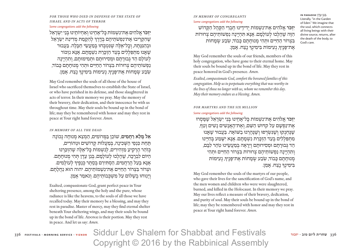FOR THOSE WHO DIED IN DEFENSE OF THE STATE OF *Israel and in acts of terror*

#### *Some congregations add the following:*

**יזכּר אלהים את־נשמות כּל־אחינוּ ואחיותינוּ בִּני ישׂראל** ֿשֶׁהִקְרֵיבוּ אֶת־נַפְשֹׁתֵיהֵם בְּדֵרֵךְ לְהַקַמַת מִדִינַת יִשְׂרַאֵל וּבְהַגַּנַּתַהּ, וְכַל־אֵלֶה שֶׁנִּטְבְּחוּ בְּמַעֲשֶׂי חַבְּלָה. בַּעֲבוּר ְשָׁאֲנוּ מִתְפַּלְלִים בְּעַד הַזִּכְּרַת נִשְׁמַתַם. אַנַּא נִזְכּוֹר לעוֹלִם הד גִּבוּרתִם וּמִסירוּתם וּתמימוּתם, ותהיינה נַפְשׁוֹתֵיהֶם צְרוּרוֹת בְּצְרוֹר הַחַיִּים וּתְהִי מְנוּחַתָם כַּבוֹד, ְשְׂבַע שִׂמָחוֹת אֵת־פָּנֵיךָ, נְעִימוֹת בִּימִינְךָ נֵצַח. אָמֵן.

May God remember the souls of all those of the house of Israel who sacrificed themselves to establish the State of Israel, or who have perished in its defense, and those slaughtered in acts of terror. In their memory we pray. May the memory of their bravery, their dedication, and their innocence be with us throughout time. May their souls be bound up in the bond of life; may they be remembered with honor and may they rest in peace at Your right hand forever. *Amen*.

#### *In Memory of All the Dead*

אל מלא רחמים*, שׁוֹכֵן בַּמְרוֹמִים, הַמְצֵא מְנוּחָה נְכוֹנָה* תַּחַת כַּנְפֵי הַשָּׁכִינָה, בְּמַעֲלוֹת קִדוֹשִׁים וּטְהוֹרִים, ּכִּוֹהַר הָרָקִיעַ מַזְהִירִים, לִנְשָׁמוֹת כַּל־אֵלֵה שֵׁהִזִכַּרְנוּ הִיּוֹם לִבְרַכָּה, שֶׁהַלְכוּ לְעוֹלַמֲם, בְּגַן עֱדֶן תְּהִי מְנוּחַתַם. אַנַּא בַּעֲל הַרַחֲמִים, הַסְתִירֵם בְּסֶתֶר כְּנָפֵיךָ לְעוֹלָמִים. וּצְרוֹר בְּצְרוֹר הַחַיִּים אֶת־נִשְׁמוֹתֵיהֶם. יהוה הוּא נַחֲלָתַם. וינוּחוּ בֹשׁלוֹם עַל מֹשַׁכֵּבוֹתיהם. ונֹאמר אמן.

Exalted, compassionate God, grant perfect peace in Your sheltering presence, among the holy and the pure, whose radiance is like the heavens, to the souls of all those we have recalled today. May their memory be a blessing, and may they rest in paradise. Master of mercy, may they find eternal shelter beneath Your sheltering wings, and may their souls be bound up in the bond of life. ADONAI is their portion. May they rest in peace. And let us say: *Amen*.

# *In memory of congregants Some congregations add the following:* **יִזְכֹּר אֱלֹהִים אֶת־נִשְׁמוֹת יִדִידֵינוּ חֵבְרֵי הַקָּהָל הַקָּדוֹש**

הַ ּזֶ ה ׁשֶ הָ ל כּו ל עֹולָ מָ ם. אָ ּנָ א ּתִ הְ יֶ ֽינָ ה נַ פְ ׁשֹותֵ יהֶ ם צ רּורֹות ּבִצְרוֹר הַחַיִּים וּתְהִי מְנוּחַתַם כַּבוֹד*, שְׂבַע שָׂמַ*חוֹת ּאֶת־פָּנֵיךָ, נְעִימוֹת בִּימִינָךְ נֵצַח. אָמֵן.

 .בְּ גַ ן עֵ ֽ דֶ ן **PARADISE IN** Literally, "in the Garden of Eden." We imagine that the soul, which connects all living beings with their divine source, returns, after the death of the body, to God's care.

May God remember the souls of our friends, members of this holy congregation, who have gone to their eternal home. May their souls be bound up in the bond of life. May they rest in peace honored in God's presence. *Amen*.

*Exalted, compassionate God, comfort the bereaved families of this congregation. Help us to perpetuate everything that was worthy in the lives of those no longer with us, whom we remember this day. May their memory endure as a blessing. Amen.*

#### *For Martyrs and the six million*

#### *Some congregations add the following:*

**יִזְכֹּר** אֱלֹהִים אֶת־נִשְׁמוֹת כָּל־אָחֵינוּ בִּנֵי יִשְׂרָאֵל שֵׁמַּסִרוּ את־נפשם על קדּוּש השם, ואת־האנשים נשים וטף, שֶׁבֶּחְנִקוּ וְשֶׁנִּשָׂרִפוּ וְשֵׁבֵּהֵרְגוּ בַשׁוֹאַה. בַּעֲבוּר שֵׁאנוּ מִתְפַּלְלִים בְּעַד הַזִּכְּרַת נִשְׁמַתַם. אַנַּא יִשָּׁמַע בְּחַיֵּינוּ הֵד גִּבוּרַתַם וּמִסִירוּתַם וְיֵרַאֵה בִּמַעֲשֵׂינוּ טְהַר לִבַּם, וְתִהְיֵינָה נַפְשׁוֹתֵיהֶם צִרוּרוֹת בִּצְרוֹר הַחַיִּים וּתִהי מנוּחתם כּבוֹד*, שֹבע שמ*חוֹת את־פּניךּ, נעימוֹת ּבִימִינְךָ נֵצַח. אַמֵן.

May God remember the souls of the martyrs of our people, who gave their lives for the sanctification of God's name, and the men women and children who were were slaughtered, burned, and killed in the Holocaust. In their memory we pray. May our lives reflect a measure of their bravery, dedication, and purity of soul. May their souls be bound up in the bond of life; may they be remembered with honor and may they rest in peace at Your right hand forever. *Amen*.

Siddur Lev Shalem for Shabbat and Festivals 336 **שחרית ליום טוב · יזכור yizkor · service morning · festivals** 336 Copyright © 2016 by the Rabbinical Assembly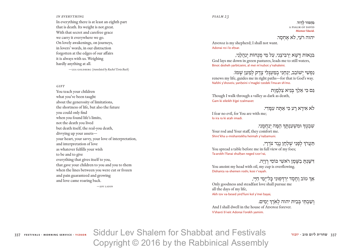#### *in everything*

In everything there is at least an eighth part that is death. Its weight is not great. With that secret and carefree grace we carry it everywhere we go. On lovely awakenings, on journeys, in lovers' words, in our distraction forgotten at the edges of our affairs it is always with us. Weighing hardly anything at all.

—LEA GOLDBERG (translated by Rachel Tzvia Back)

*Gift*

You teach your children what you've been taught about the generosity of limitations, the shortness of life, but also the future you could only find when you found life's limits, not the death you lived but death itself, the real-you death, divvying up your assets your heart, your savvy, your love of interpretation, and interpretation of love as whatever fulfills your wish to be and to give everything that gives itself to you, that gave your children to you and you to them when the lines between you were cut or frozen and pain guaranteed and growing and love came roaring back.

 $-$ j OY LADIN

#### *psalm 23*

**מִ זְ מֹור ל דָ וִ ד.** A PSALM OF DAVID **Mizmor l'david.**

יהוה רֹעי. לֹא אחסר.

ADONAI is my shepherd; I shall not want. Adonai ro<sub>'</sub>i lo ehsar.

ּבִ נְ אֹות ּדֶ ֽ ׁשֶ א יַ רְ ּבִ יצֵ ֽנִ י, עַ ל מֵ י מ נֻ חֹות י נַ הֲ לֵ ֽנִ י, God lays me down in green pastures, leads me to still waters, Binot desheh yarbitzeini, al mei m'nuhot y'nahaleini.

נַפְשִׁי יְשׁוֹבֵב, יַנְחֵנִי בְמַעְגְּלֵי צֶדֶק לְמַעַן שָֽמוֹ. renews my life, guides me in right paths—for that is God's way. Nafshi y'shoveiv, yanheini v'maglei tzedek l'ma·an sh'mo.

ּגִם כִּי אַלְךְּ בְּגִיאַ צַלְמֵוֹת Though I walk through a valley as dark as death, Gam ki eileikh b'gei tzalmavet

### לֹא אירא רע כּי אתה עמדי.

I fear no evil, for You are with me; lo ira ra ki atah imadi.

ָשְׁבְטָךְ וּמִשְׁעַנְתֵּךְ הֵמָּה יְנַחֲמֶנִי Your rod and Your staff, they comfort me. Shivt'kha u-mishantekha heimah y'nahamuni.

ֿרַנִעֲרֹךְ לְפָנַי שֶׁלְחָן נֶגֶד צֹרְרָי, You spread a table before me in full view of my foes; Ta·arokh l'fanai shulhan neged tzor'rai,

ָד<sup>ַ</sup>שַׁנַת בַשַּׁמַן רֹאַשִׁי כּוֹסִי רויה. You anoint my head with oil, my cup is overflowing.

Dishanta va-shemen roshi, kosi r'vayah.

אַרְ טוֹב וַחֱסֵד יִרְדְּפִוּנִי בָּל־יָמֵי חַיָּי,

Only goodness and steadfast love shall pursue me all the days of my life, Akh tov va-hesed yird'funi kol y'mei hayai,

וְשַׁבְתִּי בְּבִית יהוה לְאִרֶךְ יָמִים.

And I shall dwell in the house of ADONAI forever. V'shavti b'veit Adonai l'orekh yamim.

Siddur Lev Shalem for Shabbat and Festivals 337 **שחרית ליום טוב · יזכור yizkor · service morning · festivals** 337 Copyright © 2016 by the Rabbinical Assembly